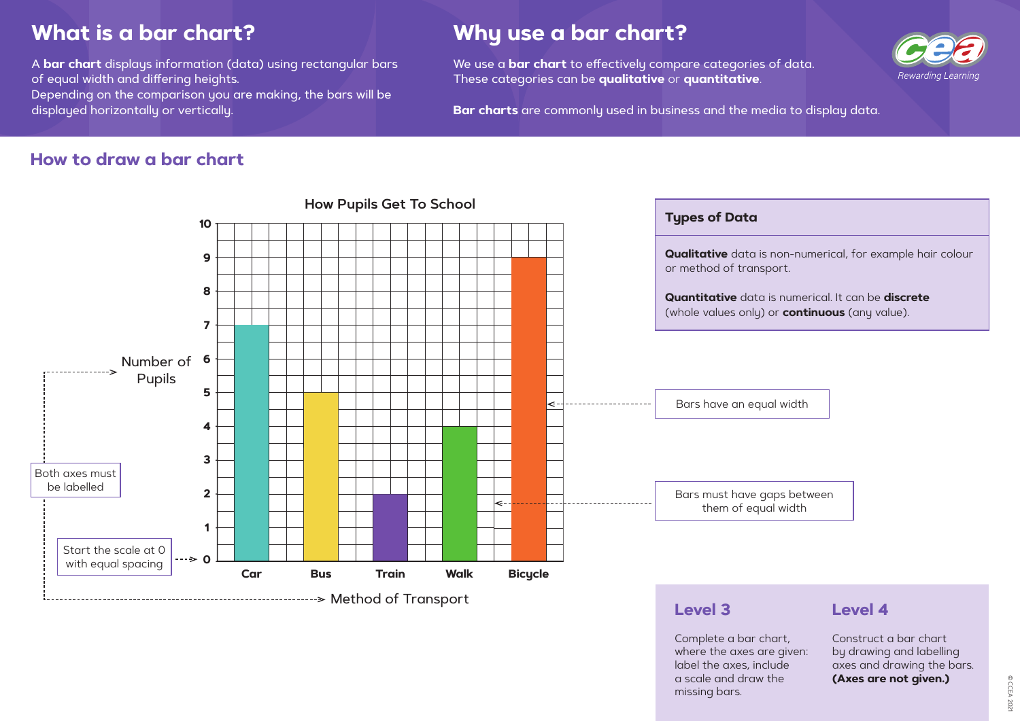© CCEA 202 © CCEA 2021

**Qualitative** data is non-numerical, for example hair colour

**Quantitative** data is numerical. It can be **discrete** (whole values only) or **continuous** (any value).

# **What is a bar chart?**

A **bar chart** displays information (data) using rectangular bars of equal width and differing heights. Depending on the comparison you are making, the bars will be displayed horizontally or vertically.

# **Why use a bar chart?**

We use a **bar chart** to effectively compare categories of data. These categories can be **qualitative** or **quantitative**.

**Bar charts** are commonly used in business and the media to display data.

#### **How to draw a bar chart**



Complete a bar chart, where the axes are given: label the axes, include a scale and draw the missing bars.



#### **Level 4**

Construct a bar chart by drawing and labelling axes and drawing the bars. **(Axes are not given.)**